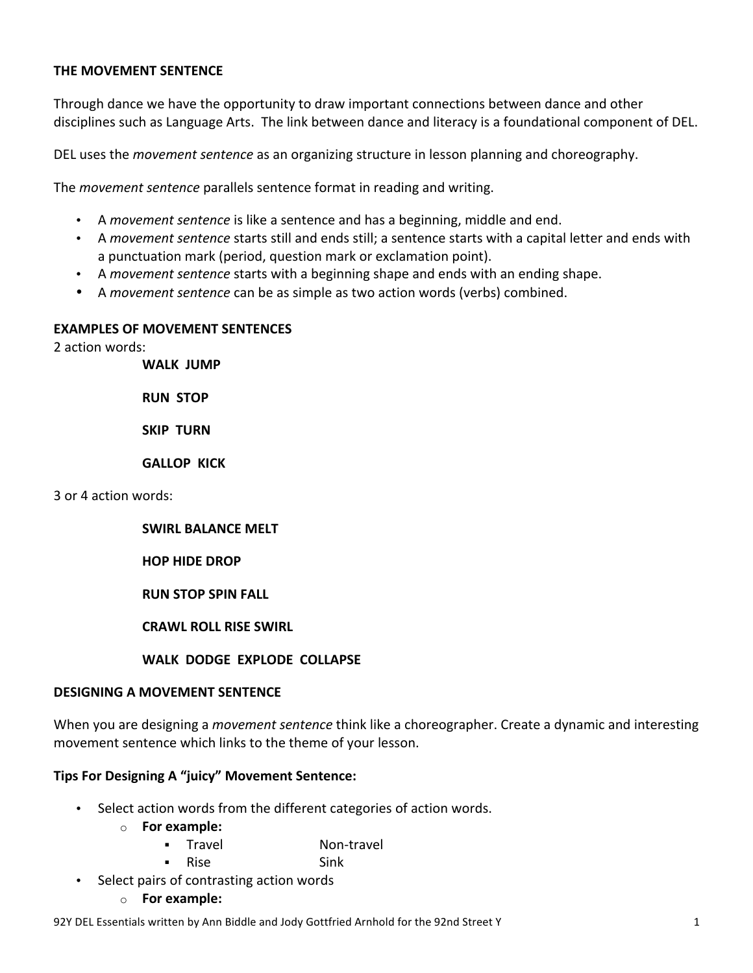### **THE MOVEMENT SENTENCE**

Through dance we have the opportunity to draw important connections between dance and other disciplines such as Language Arts. The link between dance and literacy is a foundational component of DEL.

DEL uses the *movement sentence* as an organizing structure in lesson planning and choreography.

The *movement sentence* parallels sentence format in reading and writing.

- A *movement sentence* is like a sentence and has a beginning, middle and end.
- A *movement sentence* starts still and ends still; a sentence starts with a capital letter and ends with a punctuation mark (period, question mark or exclamation point).
- A *movement sentence* starts with a beginning shape and ends with an ending shape.
- A *movement sentence* can be as simple as two action words (verbs) combined.

### **EXAMPLES OF MOVEMENT SENTENCES**

2 action words:

**WALK JUMP**

**RUN STOP** 

**SKIP TURN** 

**GALLOP KICK**

3 or 4 action words: 

### **SWIRL BALANCE MELT**

**HOP HIDE DROP** 

**RUN STOP SPIN FALL** 

**CRAWL ROLL RISE SWIRL**

### **WALK DODGE EXPLODE COLLAPSE**

### **DESIGNING A MOVEMENT SENTENCE**

When you are designing a *movement sentence* think like a choreographer. Create a dynamic and interesting movement sentence which links to the theme of your lesson.

### **Tips For Designing A "juicy" Movement Sentence:**

- Select action words from the different categories of action words.
	- o **For example:**
		- § Travel Non-travel
		- § Rise Sink
- Select pairs of contrasting action words
	- o **For example:**

92Y DEL Essentials written by Ann Biddle and Jody Gottfried Arnhold for the 92nd Street Y 2008 and 1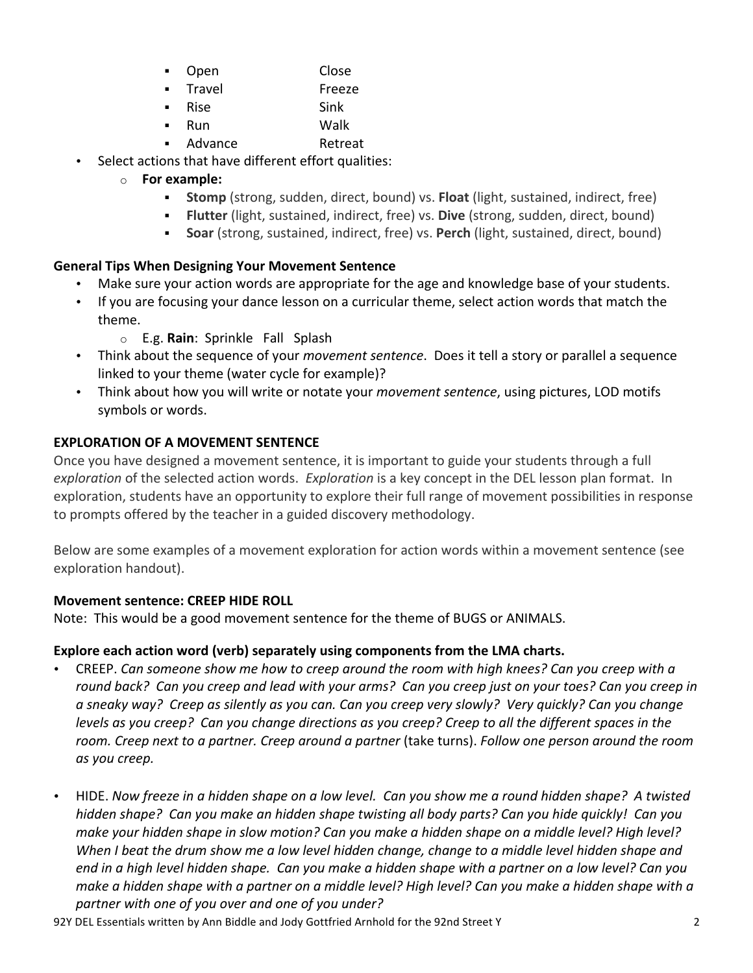- § Open Close
- § Travel Freeze
- § Rise Sink
- § Run Walk
- Advance Retreat
- Select actions that have different effort qualities:
	- o **For example:**
		- **Stomp** (strong, sudden, direct, bound) vs. **Float** (light, sustained, indirect, free)
		- **•** Flutter (light, sustained, indirect, free) vs. Dive (strong, sudden, direct, bound)
		- **Soar** (strong, sustained, indirect, free) vs. Perch (light, sustained, direct, bound)

## **General Tips When Designing Your Movement Sentence**

- Make sure your action words are appropriate for the age and knowledge base of your students.
- If you are focusing your dance lesson on a curricular theme, select action words that match the theme.
	- o E.g. **Rain**: Sprinkle Fall Splash
- Think about the sequence of your *movement sentence*. Does it tell a story or parallel a sequence linked to your theme (water cycle for example)?
- Think about how you will write or notate your *movement sentence*, using pictures, LOD motifs symbols or words.

# **EXPLORATION OF A MOVEMENT SENTENCE**

Once you have designed a movement sentence, it is important to guide your students through a full *exploration* of the selected action words. *Exploration* is a key concept in the DEL lesson plan format. In exploration, students have an opportunity to explore their full range of movement possibilities in response to prompts offered by the teacher in a guided discovery methodology.

Below are some examples of a movement exploration for action words within a movement sentence (see exploration handout).

## **Movement sentence: CREEP HIDE ROLL**

Note: This would be a good movement sentence for the theme of BUGS or ANIMALS.

## **Explore each action word (verb) separately using components from the LMA charts.**

- CREEP. Can someone show me how to creep around the room with high knees? Can you creep with a *round* back? Can you creep and lead with your arms? Can you creep just on your toes? Can you creep in *a* sneaky way? Creep as silently as you can. Can you creep very slowly? Very quickly? Can you change *levels* as you creep? Can you change directions as you creep? Creep to all the different spaces in the *room.* Creep next to a partner. Creep around a partner (take turns). Follow one person around the room *as you creep.*
- HIDE. Now freeze in a hidden shape on a low level. Can you show me a round hidden shape? A twisted *hidden shape? Can you make an hidden shape twisting all body parts? Can you hide quickly! Can you*  make your hidden shape in slow motion? Can you make a hidden shape on a middle level? High level? When I beat the drum show me a low level hidden change, change to a middle level hidden shape and *end* in a high level hidden shape. Can you make a hidden shape with a partner on a low level? Can you *make a hidden shape with a partner on a middle level? High level? Can you make a hidden shape with a* partner with one of you over and one of you under?

92Y DEL Essentials written by Ann Biddle and Jody Gottfried Arnhold for the 92nd Street Y 2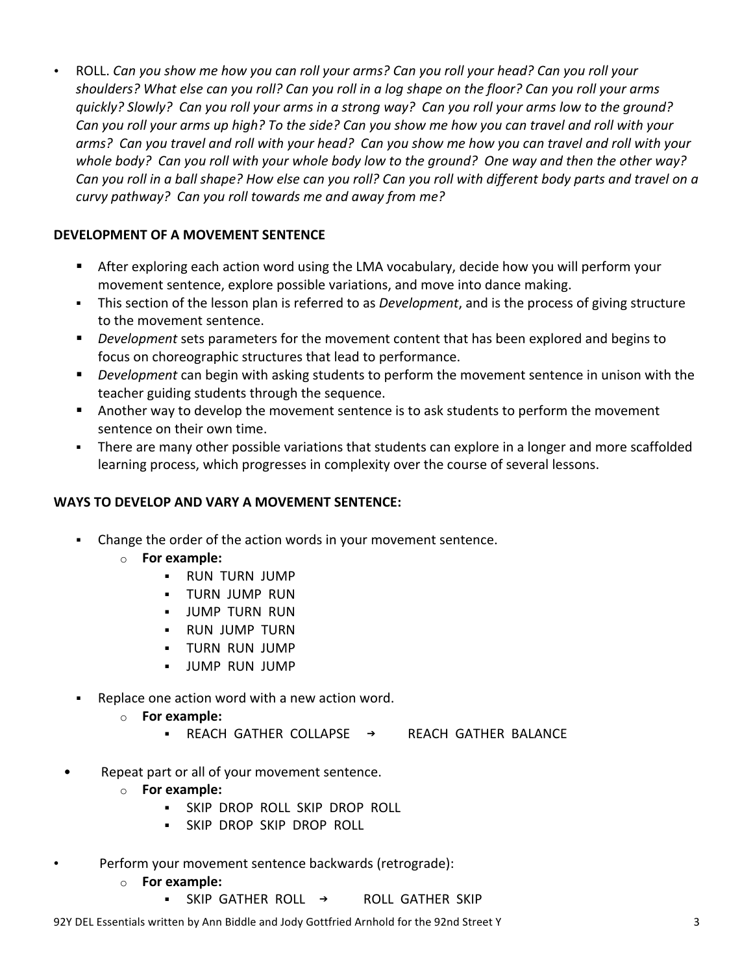• ROLL. *Can you show me how you can roll your arms? Can you roll your head? Can you roll your* shoulders? What else can you roll? Can you roll in a log shape on the floor? Can you roll your arms *quickly?* Slowly? Can you roll your arms in a strong way? Can you roll your arms low to the ground? Can you roll your arms up high? To the side? Can you show me how you can travel and roll with your arms? Can you travel and roll with your head? Can you show me how you can travel and roll with your whole body? Can you roll with your whole body low to the ground? One way and then the other way? *Can* you roll in a ball shape? How else can you roll? Can you roll with different body parts and travel on a *curvy pathway? Can you roll towards me and away from me?* 

## **DEVELOPMENT OF A MOVEMENT SENTENCE**

- **EXECT:** After exploring each action word using the LMA vocabulary, decide how you will perform your movement sentence, explore possible variations, and move into dance making.
- **•** This section of the lesson plan is referred to as *Development*, and is the process of giving structure to the movement sentence.
- **•** *Development* sets parameters for the movement content that has been explored and begins to focus on choreographic structures that lead to performance.
- **•** *Development* can begin with asking students to perform the movement sentence in unison with the teacher guiding students through the sequence.
- Another way to develop the movement sentence is to ask students to perform the movement sentence on their own time.
- There are many other possible variations that students can explore in a longer and more scaffolded learning process, which progresses in complexity over the course of several lessons.

### **WAYS TO DEVELOP AND VARY A MOVEMENT SENTENCE:**

- Change the order of the action words in your movement sentence.
	- o **For example:**
		- § RUN TURN JUMP
		- **E** TURN JUMP RUN
		- **JUMP TURN RUN**
		- **B** RUN JUMP TURN
		- § TURN RUN JUMP
		- **· JUMP RUN JUMP**
- Replace one action word with a new action word.
	- o **For example:**
		- REACH GATHER COLLAPSE → REACH GATHER BALANCE
- Repeat part or all of your movement sentence.
	- o **For example:**
		- **SKIP DROP ROLL SKIP DROP ROLL**
		- **SKIP DROP SKIP DROP ROLL**
	- Perform your movement sentence backwards (retrograde):
		- o **For example:**
			- $\overline{\phantom{a}}$  SKIP GATHER ROLL  $\rightarrow$  ROLL GATHER SKIP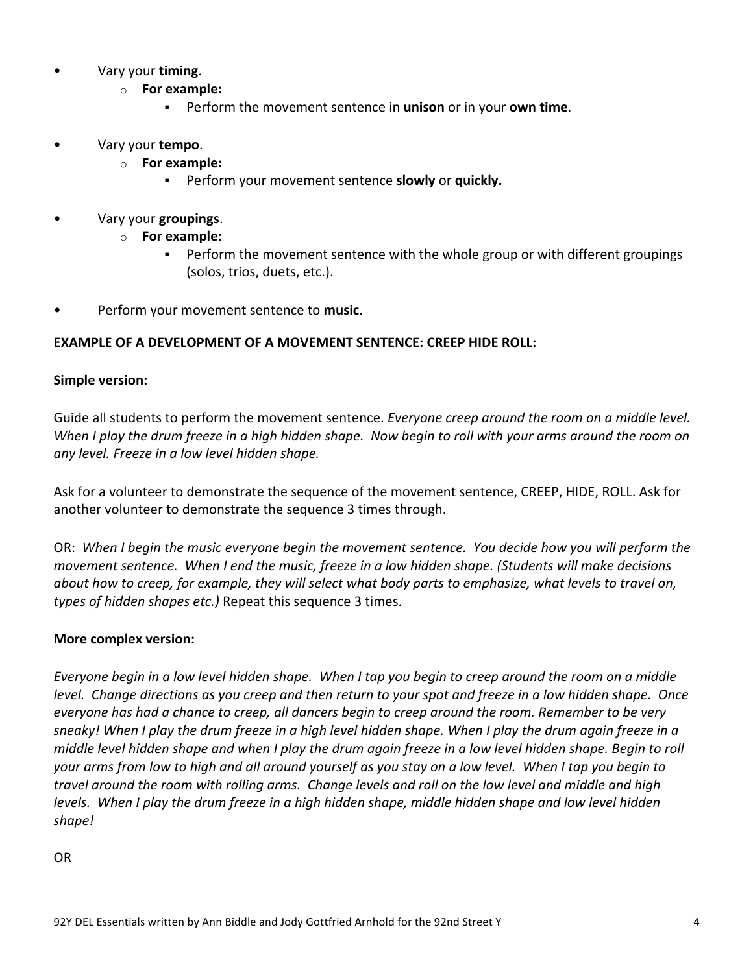- Vary your **timing**.
	- o **For example:**
		- **EXECTE:** Perform the movement sentence in **unison** or in your **own time**.
- Vary your **tempo**.
	- o **For example:**
		- **EXECT:** Perform your movement sentence **slowly** or **quickly.**
- **•** Vary your groupings.
	- o **For example:**
		- Perform the movement sentence with the whole group or with different groupings (solos, trios, duets, etc.).
- Perform your movement sentence to music.

## **EXAMPLE OF A DEVELOPMENT OF A MOVEMENT SENTENCE: CREEP HIDE ROLL:**

### **Simple version:**

Guide all students to perform the movement sentence. *Everyone creep around the room on a middle level*. *When I play the drum freeze in a high hidden shape.* Now begin to roll with your arms around the room on *any level. Freeze in a low level hidden shape.* 

Ask for a volunteer to demonstrate the sequence of the movement sentence, CREEP, HIDE, ROLL. Ask for another volunteer to demonstrate the sequence 3 times through.

OR: When I begin the music everyone begin the movement sentence. You decide how you will perform the *movement sentence. When I end the music, freeze in a low hidden shape. (Students will make decisions about how to creep, for example, they will select what body parts to emphasize, what levels to travel on, types of hidden shapes etc.)* Repeat this sequence 3 times.

### **More complex version:**

*Everyone begin in a low level hidden shape.* When I tap you begin to creep around the room on a middle *level.* Change directions as you creep and then return to your spot and freeze in a low hidden shape. Once *everyone has had a chance to creep, all dancers begin to creep around the room. Remember to be very* sneaky! When I play the drum freeze in a high level hidden shape. When I play the drum again freeze in a *middle* level hidden shape and when I play the drum again freeze in a low level hidden shape. Begin to roll your arms from low to high and all around yourself as you stay on a low level. When I tap you begin to *travel around the room with rolling arms. Change levels and roll on the low level and middle and high levels.* When I play the drum freeze in a high hidden shape, middle hidden shape and low level hidden *shape!*

OR